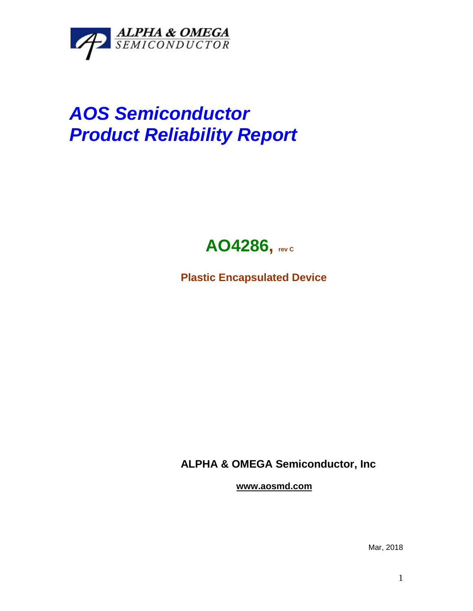

## *AOS Semiconductor Product Reliability Report*



**Plastic Encapsulated Device**

**ALPHA & OMEGA Semiconductor, Inc**

**www.aosmd.com**

Mar, 2018